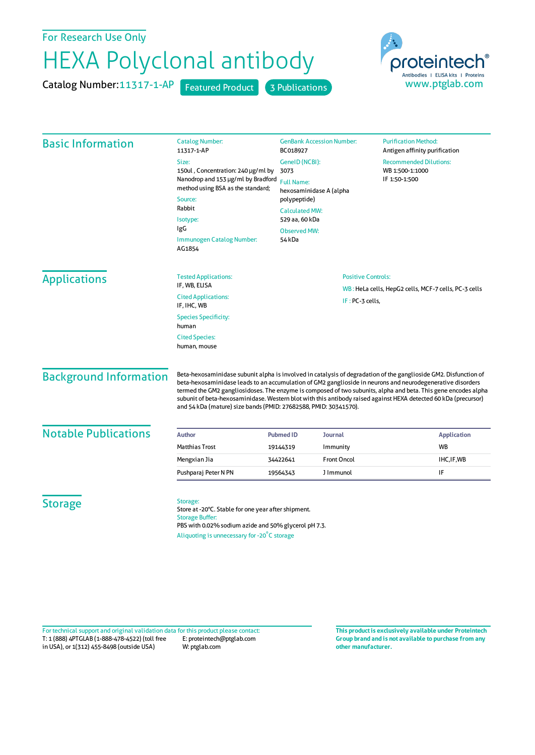## For Research Use Only

## HEXA Polyclonal antibody

Catalog Number: 11317-1-AP Featured Product 3 Publications



| <b>Basic Information</b>      | <b>Catalog Number:</b><br>11317-1-AP                                                                                                                                                                                                                                                                                                                                                                                                                                                                                                    | <b>GenBank Accession Number:</b><br>BC018927                                                                                                                       |                    | <b>Purification Method:</b><br>Antigen affinity purification      |  |
|-------------------------------|-----------------------------------------------------------------------------------------------------------------------------------------------------------------------------------------------------------------------------------------------------------------------------------------------------------------------------------------------------------------------------------------------------------------------------------------------------------------------------------------------------------------------------------------|--------------------------------------------------------------------------------------------------------------------------------------------------------------------|--------------------|-------------------------------------------------------------------|--|
|                               | Size:<br>150ul, Concentration: 240 µg/ml by<br>Nanodrop and 153 µg/ml by Bradford<br>method using BSA as the standard;<br>Source:<br>Rabbit<br>Isotype:<br>IgG<br><b>Immunogen Catalog Number:</b><br>AG1854                                                                                                                                                                                                                                                                                                                            | GenelD (NCBI):<br>3073<br><b>Full Name:</b><br>hexosaminidase A (alpha<br>polypeptide)<br><b>Calculated MW:</b><br>529 aa, 60 kDa<br><b>Observed MW:</b><br>54 kDa |                    | <b>Recommended Dilutions:</b><br>WB 1:500-1:1000<br>IF 1:50-1:500 |  |
| <b>Applications</b>           | <b>Tested Applications:</b><br>IF, WB, ELISA                                                                                                                                                                                                                                                                                                                                                                                                                                                                                            | <b>Positive Controls:</b>                                                                                                                                          |                    |                                                                   |  |
|                               | <b>Cited Applications:</b><br>IF, IHC, WB                                                                                                                                                                                                                                                                                                                                                                                                                                                                                               | IF: PC-3 cells,                                                                                                                                                    |                    | WB: HeLa cells, HepG2 cells, MCF-7 cells, PC-3 cells              |  |
|                               | <b>Species Specificity:</b><br>human                                                                                                                                                                                                                                                                                                                                                                                                                                                                                                    |                                                                                                                                                                    |                    |                                                                   |  |
|                               | <b>Cited Species:</b><br>human, mouse                                                                                                                                                                                                                                                                                                                                                                                                                                                                                                   |                                                                                                                                                                    |                    |                                                                   |  |
| <b>Background Information</b> | Beta-hexosaminidase subunit alpha is involved in catalysis of degradation of the ganglioside GM2. Disfunction of<br>beta-hexosaminidase leads to an accumulation of GM2 ganglioside in neurons and neurodegenerative disorders<br>termed the GM2 gangliosidoses. The enzyme is composed of two subunits, alpha and beta. This gene encodes alpha<br>subunit of beta-hexosaminidase. Western blot with this antibody raised against HEXA detected 60 kDa (precursor)<br>and 54 kDa (mature) size bands (PMID: 27682588, PMID: 30341570). |                                                                                                                                                                    |                    |                                                                   |  |
| <b>Notable Publications</b>   | <b>Author</b>                                                                                                                                                                                                                                                                                                                                                                                                                                                                                                                           | <b>Pubmed ID</b>                                                                                                                                                   | <b>Journal</b>     | <b>Application</b>                                                |  |
|                               | <b>Matthias Trost</b>                                                                                                                                                                                                                                                                                                                                                                                                                                                                                                                   | 19144319                                                                                                                                                           | Immunity           | <b>WB</b>                                                         |  |
|                               | Mengxian Jia                                                                                                                                                                                                                                                                                                                                                                                                                                                                                                                            | 34422641                                                                                                                                                           | <b>Front Oncol</b> | IHC, IF, WB                                                       |  |
|                               | Pushparaj Peter N PN                                                                                                                                                                                                                                                                                                                                                                                                                                                                                                                    | 19564343                                                                                                                                                           | J Immunol          | IF                                                                |  |
| <b>Storage</b>                | Storage:<br>Store at -20°C. Stable for one year after shipment.<br><b>Storage Buffer:</b><br>PBS with 0.02% sodium azide and 50% glycerol pH 7.3.<br>Aliquoting is unnecessary for -20°C storage                                                                                                                                                                                                                                                                                                                                        |                                                                                                                                                                    |                    |                                                                   |  |

T: 1 (888) 4PTGLAB (1-888-478-4522) (toll free in USA), or 1(312) 455-8498 (outside USA) E: proteintech@ptglab.com W: ptglab.com Fortechnical support and original validation data forthis product please contact: **This productis exclusively available under Proteintech**

**Group brand and is not available to purchase from any other manufacturer.**